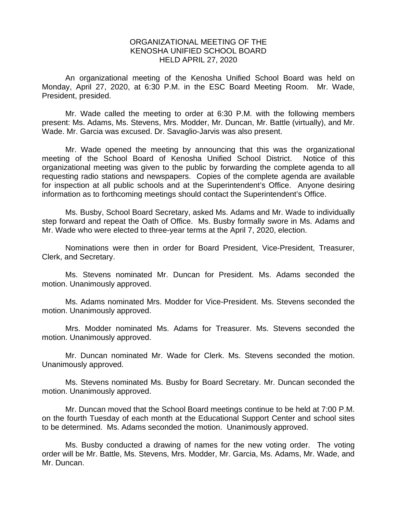## ORGANIZATIONAL MEETING OF THE KENOSHA UNIFIED SCHOOL BOARD HELD APRIL 27, 2020

An organizational meeting of the Kenosha Unified School Board was held on Monday, April 27, 2020, at 6:30 P.M. in the ESC Board Meeting Room. Mr. Wade, President, presided.

Mr. Wade called the meeting to order at 6:30 P.M. with the following members present: Ms. Adams, Ms. Stevens, Mrs. Modder, Mr. Duncan, Mr. Battle (virtually), and Mr. Wade. Mr. Garcia was excused. Dr. Savaglio-Jarvis was also present.

Mr. Wade opened the meeting by announcing that this was the organizational meeting of the School Board of Kenosha Unified School District. Notice of this organizational meeting was given to the public by forwarding the complete agenda to all requesting radio stations and newspapers. Copies of the complete agenda are available for inspection at all public schools and at the Superintendent's Office. Anyone desiring information as to forthcoming meetings should contact the Superintendent's Office.

Ms. Busby, School Board Secretary, asked Ms. Adams and Mr. Wade to individually step forward and repeat the Oath of Office. Ms. Busby formally swore in Ms. Adams and Mr. Wade who were elected to three-year terms at the April 7, 2020, election.

Nominations were then in order for Board President, Vice-President, Treasurer, Clerk, and Secretary.

Ms. Stevens nominated Mr. Duncan for President. Ms. Adams seconded the motion. Unanimously approved.

Ms. Adams nominated Mrs. Modder for Vice-President. Ms. Stevens seconded the motion. Unanimously approved.

Mrs. Modder nominated Ms. Adams for Treasurer. Ms. Stevens seconded the motion. Unanimously approved.

Mr. Duncan nominated Mr. Wade for Clerk. Ms. Stevens seconded the motion. Unanimously approved.

Ms. Stevens nominated Ms. Busby for Board Secretary. Mr. Duncan seconded the motion. Unanimously approved.

Mr. Duncan moved that the School Board meetings continue to be held at 7:00 P.M. on the fourth Tuesday of each month at the Educational Support Center and school sites to be determined. Ms. Adams seconded the motion. Unanimously approved.

Ms. Busby conducted a drawing of names for the new voting order. The voting order will be Mr. Battle, Ms. Stevens, Mrs. Modder, Mr. Garcia, Ms. Adams, Mr. Wade, and Mr. Duncan.